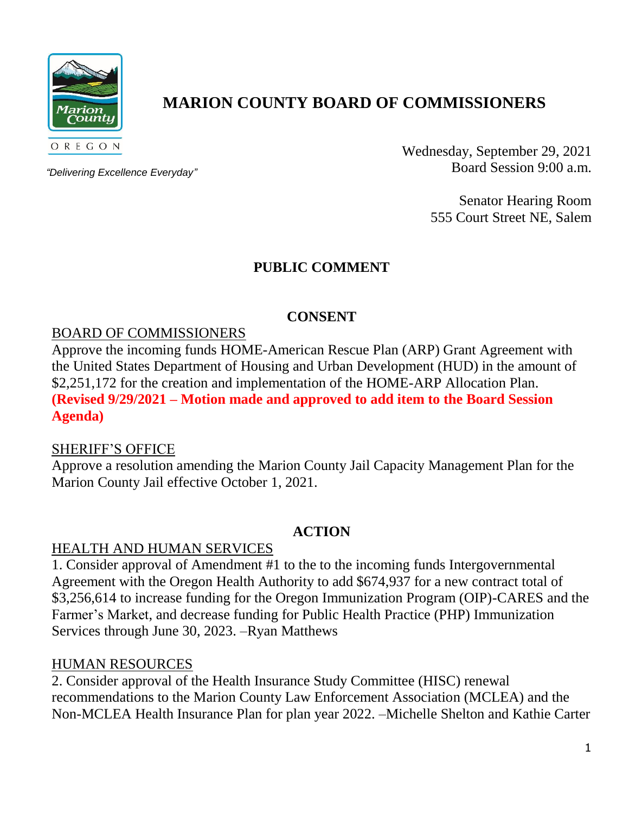

# **MARION COUNTY BOARD OF COMMISSIONERS**

*"Delivering Excellence Everyday"*

Wednesday, September 29, 2021 Board Session 9:00 a.m.

> Senator Hearing Room 555 Court Street NE, Salem

# **PUBLIC COMMENT**

# **CONSENT**

## BOARD OF COMMISSIONERS

Approve the incoming funds HOME-American Rescue Plan (ARP) Grant Agreement with the United States Department of Housing and Urban Development (HUD) in the amount of \$2,251,172 for the creation and implementation of the HOME-ARP Allocation Plan. **(Revised 9/29/2021 – Motion made and approved to add item to the Board Session Agenda)**

#### SHERIFF'S OFFICE

Approve a resolution amending the Marion County Jail Capacity Management Plan for the Marion County Jail effective October 1, 2021.

#### **ACTION**

#### HEALTH AND HUMAN SERVICES

1. Consider approval of Amendment #1 to the to the incoming funds Intergovernmental Agreement with the Oregon Health Authority to add \$674,937 for a new contract total of \$3,256,614 to increase funding for the Oregon Immunization Program (OIP)-CARES and the Farmer's Market, and decrease funding for Public Health Practice (PHP) Immunization Services through June 30, 2023. –Ryan Matthews

#### HUMAN RESOURCES

2. Consider approval of the Health Insurance Study Committee (HISC) renewal recommendations to the Marion County Law Enforcement Association (MCLEA) and the Non-MCLEA Health Insurance Plan for plan year 2022. –Michelle Shelton and Kathie Carter